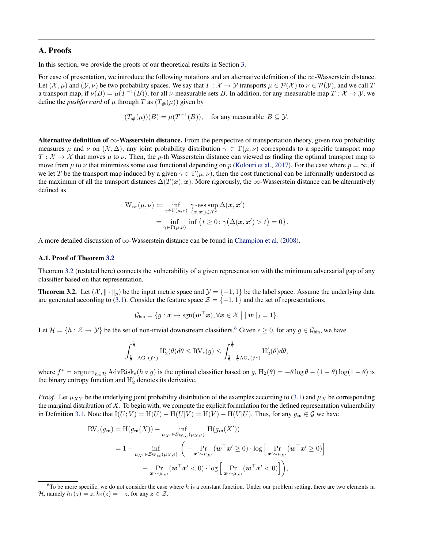## A. Proofs

In this section, we provide the proofs of our theoretical results in Section 3.

For ease of presentation, we introduce the following notations and an alternative definition of the ∞-Wasserstein distance. Let  $(\mathcal{X}, \mu)$  and  $(\mathcal{Y}, \nu)$  be two probability spaces. We say that  $T : \mathcal{X} \to \mathcal{Y}$  transports  $\mu \in \mathcal{P}(\mathcal{X})$  to  $\nu \in \mathcal{P}(\mathcal{Y})$ , and we call T a transport map, if  $\nu(B) = \mu(T^{-1}(B))$ , for all  $\nu$ -measurable sets B. In addition, for any measurable map  $T : \mathcal{X} \to \mathcal{Y}$ , we define the *pushforward* of  $\mu$  through T as  $(T_{\#}(\mu))$  given by

$$
(T_{\#}(\mu))(B) = \mu(T^{-1}(B)),
$$
 for any measurable  $B \subseteq \mathcal{Y}.$ 

Alternative definition of  $\infty$ -Wasserstein distance. From the perspective of transportation theory, given two probability measures  $\mu$  and  $\nu$  on  $(\mathcal{X}, \Delta)$ , any joint probability distribution  $\gamma \in \Gamma(\mu, \nu)$  corresponds to a specific transport map  $T: \mathcal{X} \to \mathcal{X}$  that moves  $\mu$  to  $\nu$ . Then, the p-th Wasserstein distance can viewed as finding the optimal transport map to move from  $\mu$  to  $\nu$  that minimizes some cost functional depending on p (Kolouri et al., 2017). For the case where  $p = \infty$ , if we let T be the transport map induced by a given  $\gamma \in \Gamma(\mu, \nu)$ , then the cost functional can be informally understood as the maximum of all the transport distances  $\Delta(T(\mathbf{x}), \mathbf{x})$ . More rigorously, the  $\infty$ -Wasserstein distance can be alternatively defined as

$$
W_{\infty}(\mu, \nu) := \inf_{\gamma \in \Gamma(\mu, \nu)} \gamma \text{-ess} \sup_{(\mathbf{x}, \mathbf{x}') \in \mathcal{X}^2} \Delta(\mathbf{x}, \mathbf{x}')
$$
  
= 
$$
\inf_{\gamma \in \Gamma(\mu, \nu)} \inf \{ t \ge 0 : \gamma(\Delta(\mathbf{x}, \mathbf{x}') > t) = 0 \}.
$$

A more detailed discussion of ∞-Wasserstein distance can be found in Champion et al. (2008).

#### A.1. Proof of Theorem 3.2

Theorem 3.2 (restated here) connects the vulnerability of a given representation with the minimum adversarial gap of any classifier based on that representation.

**Theorem 3.2.** Let  $(\mathcal{X}, \|\cdot\|_p)$  be the input metric space and  $\mathcal{Y} = \{-1, 1\}$  be the label space. Assume the underlying data are generated according to (3.1). Consider the feature space  $\mathcal{Z} = \{-1, 1\}$  and the set of representations,

$$
\mathcal{G}_{\text{bin}} = \{g: \boldsymbol{x} \mapsto \text{sgn}(\boldsymbol{w}^{\top}\boldsymbol{x}), \forall \boldsymbol{x} \in \mathcal{X} \mid \|\boldsymbol{w}\|_2 = 1\}.
$$

Let  $\mathcal{H} = \{h : \mathcal{Z} \to \mathcal{Y}\}\$  be the set of non-trivial downstream classifiers.<sup>6</sup> Given  $\epsilon \geq 0$ , for any  $g \in \mathcal{G}_{\text{bin}}$ , we have

$$
\int_{\frac{1}{2}-\mathrm{AG}_{\epsilon}(f^*)}^{\frac{1}{2}}\mathrm{H}'_2(\theta)d\theta\leq \mathrm{RV}_{\epsilon}(g)\leq \int_{\frac{1}{2}-\frac{1}{2}\mathrm{AG}_{\epsilon}(f^*)}^{\frac{1}{2}}\mathrm{H}'_2(\theta)d\theta,
$$

where  $f^* = \operatorname{argmin}_{h \in \mathcal{H}} \text{AdvRisk}_{\epsilon}(h \circ g)$  is the optimal classifier based on  $g$ ,  $H_2(\theta) = -\theta \log \theta - (1 - \theta) \log(1 - \theta)$  is the binary entropy function and  $H_2'$  denotes its derivative.

*Proof.* Let  $\mu_{XY}$  be the underlying joint probability distribution of the examples according to (3.1) and  $\mu_X$  be corresponding the marginal distribution of  $X$ . To begin with, we compute the explicit formulation for the defined representation vulnerability in Definition 3.1. Note that  $I(U; V) = H(U) - H(U|V) = H(V) - H(V|U)$ . Thus, for any  $g_w \in \mathcal{G}$  we have

$$
\begin{split} \text{RV}_{\epsilon}(g_{\mathbf{w}}) &= \text{H}(g_{\mathbf{w}}(X)) - \inf_{\mu_{X'} \in \mathcal{B}_{\mathbf{W}_{\infty}}(\mu_{X}, \epsilon)} \text{H}(g_{\mathbf{w}}(X')) \\ &= 1 - \inf_{\mu_{X'} \in \mathcal{B}_{\mathbf{W}_{\infty}}(\mu_{X}, \epsilon)} \left( - \Pr_{\mathbf{x}' \sim \mu_{X'}} (\mathbf{w}^{\top} \mathbf{x}' \ge 0) \cdot \log \left[ \Pr_{\mathbf{x}' \sim \mu_{X'}} (\mathbf{w}^{\top} \mathbf{x}' \ge 0) \right] \right. \\ &\left. - \Pr_{\mathbf{x}' \sim \mu_{X'}} (\mathbf{w}^{\top} \mathbf{x}' < 0) \cdot \log \left[ \Pr_{\mathbf{x}' \sim \mu_{X'}} (\mathbf{w}^{\top} \mathbf{x}' < 0) \right] \right), \end{split}
$$

<sup>&</sup>lt;sup>6</sup>To be more specific, we do not consider the case where h is a constant function. Under our problem setting, there are two elements in H, namely  $h_1(z) = z$ ,  $h_2(z) = -z$ , for any  $z \in \mathcal{Z}$ .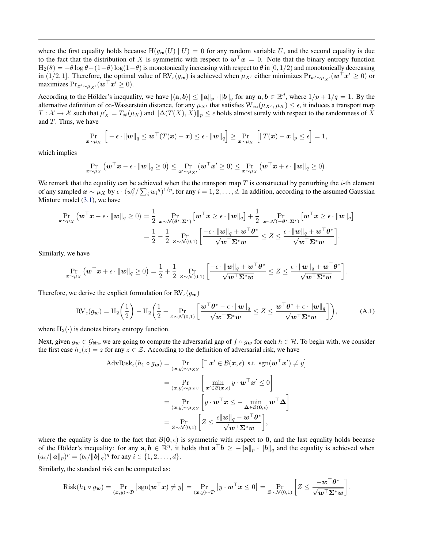where the first equality holds because  $H(g_w(U) | U) = 0$  for any random variable U, and the second equality is due to the fact that the distribution of X is symmetric with respect to  $w^{\top}x = 0$ . Note that the binary entropy function  $H_2(\theta) = -\theta \log \theta - (1-\theta) \log(1-\theta)$  is monotonically increasing with respect to  $\theta$  in [0, 1/2) and monotonically decreasing in (1/2, 1]. Therefore, the optimal value of RV $_{\epsilon}(g_w)$  is achieved when  $\mu_{X'}$  either minimizes  $\Pr_{\mathbf{x}' \sim \mu_{X'}}(\mathbf{w}^\top \mathbf{x}' \geq 0)$  or maximizes  $\Pr_{\bm{x}' \sim \mu_{X'}}(\bm{w}^\top \bm{x}' \geq 0).$ 

According to the Hölder's inequality, we have  $|\langle \mathbf{a}, \mathbf{b} \rangle| \le ||\mathbf{a}||_p \cdot ||\mathbf{b}||_q$  for any  $\mathbf{a}, \mathbf{b} \in \mathbb{R}^d$ , where  $1/p + 1/q = 1$ . By the alternative definition of  $\infty$ -Wasserstein distance, for any  $\mu_X$  that satisfies  $W_\infty(\mu_X, \mu_X) \leq \epsilon$ , it induces a transport map  $T: \mathcal{X} \to \mathcal{X}$  such that  $\mu'_X = T_\#(\mu_X)$  and  $\|\Delta(T(X), X)\|_p \leq \epsilon$  holds almost surely with respect to the randomness of X and  $T$ . Thus, we have

$$
\Pr_{\boldsymbol{x} \sim \mu_X} \left[ -\epsilon \cdot \|\boldsymbol{w}\|_q \leq \boldsymbol{w}^\top (T(\boldsymbol{x}) - \boldsymbol{x}) \leq \epsilon \cdot \|\boldsymbol{w}\|_q \right] \geq \Pr_{\boldsymbol{x} \sim \mu_X} \left[ \|T(\boldsymbol{x}) - \boldsymbol{x}\|_p \leq \epsilon \right] = 1,
$$

which implies

$$
\Pr_{\bm{x} \sim \mu_X}\left(\bm{w}^\top \bm{x} - \epsilon \cdot \|\bm{w}\|_q \geq 0\right) \leq \Pr_{\bm{x}' \sim \mu_{X'}}(\bm{w}^\top \bm{x}' \geq 0) \leq \Pr_{\bm{x} \sim \mu_X}\left(\bm{w}^\top \bm{x} + \epsilon \cdot \|\bm{w}\|_q \geq 0\right).
$$

We remark that the equality can be achieved when the the transport map  $T$  is constructed by perturbing the  $i$ -th element of any sampled  $\mathbf{x} \sim \mu_X$  by  $\epsilon \cdot (w_i^q / \sum_i w_i^q)^{1/p}$ , for any  $i = 1, 2, ..., d$ . In addition, according to the assumed Gaussian Mixture model (3.1), we have

$$
\Pr_{\boldsymbol{x} \sim \mu_X} \left( \boldsymbol{w}^\top \boldsymbol{x} - \epsilon \cdot \|\boldsymbol{w}\|_q \ge 0 \right) = \frac{1}{2} \Pr_{\boldsymbol{x} \sim \mathcal{N}(\boldsymbol{\theta}^*, \boldsymbol{\Sigma}^*)} \left[ \boldsymbol{w}^\top \boldsymbol{x} \ge \epsilon \cdot \|\boldsymbol{w}\|_q \right] + \frac{1}{2} \Pr_{\boldsymbol{x} \sim \mathcal{N}(-\boldsymbol{\theta}^*, \boldsymbol{\Sigma}^*)} \left[ \boldsymbol{w}^\top \boldsymbol{x} \ge \epsilon \cdot \|\boldsymbol{w}\|_q \right] \n= \frac{1}{2} - \frac{1}{2} \Pr_{\boldsymbol{Z} \sim \mathcal{N}(0,1)} \left[ \frac{-\epsilon \cdot \|\boldsymbol{w}\|_q + \boldsymbol{w}^\top \boldsymbol{\theta}^*}{\sqrt{\boldsymbol{w}^\top \boldsymbol{\Sigma}^* \boldsymbol{w}}} \le Z \le \frac{\epsilon \cdot \|\boldsymbol{w}\|_q + \boldsymbol{w}^\top \boldsymbol{\theta}^*}{\sqrt{\boldsymbol{w}^\top \boldsymbol{\Sigma}^* \boldsymbol{w}}} \right].
$$

Similarly, we have

$$
\Pr_{\boldsymbol{x}\sim\mu_X}\left(\boldsymbol{w}^\top\boldsymbol{x}+\epsilon\cdot\|\boldsymbol{w}\|_q\geq 0\right)=\frac{1}{2}+\frac{1}{2}\Pr_{Z\sim\mathcal{N}(0,1)}\left[\frac{-\epsilon\cdot\|\boldsymbol{w}\|_q+\boldsymbol{w}^\top\boldsymbol{\theta}^*}{\sqrt{\boldsymbol{w}^\top\boldsymbol{\Sigma}^*\boldsymbol{w}}}\leq Z\leq\frac{\epsilon\cdot\|\boldsymbol{w}\|_q+\boldsymbol{w}^\top\boldsymbol{\theta}^*}{\sqrt{\boldsymbol{w}^\top\boldsymbol{\Sigma}^*\boldsymbol{w}}}\right].
$$

Therefore, we derive the explicit formulation for  $\text{RV}_{\epsilon}(g_{\boldsymbol{w}})$ 

$$
\text{RV}_{\epsilon}(g_{\mathbf{w}}) = \text{H}_{2}\left(\frac{1}{2}\right) - \text{H}_{2}\left(\frac{1}{2} - \Pr_{Z \sim \mathcal{N}(0,1)}\left[\frac{\mathbf{w}^{\top}\boldsymbol{\theta}^{*} - \epsilon \cdot \|\mathbf{w}\|_{q}}{\sqrt{\mathbf{w}^{\top}\boldsymbol{\Sigma}^{*}\mathbf{w}}}\right] \le Z \le \frac{\mathbf{w}^{\top}\boldsymbol{\theta}^{*} + \epsilon \cdot \|\mathbf{w}\|_{q}}{\sqrt{\mathbf{w}^{\top}\boldsymbol{\Sigma}^{*}\mathbf{w}}}\right),\tag{A.1}
$$

where  $H_2(\cdot)$  is denotes binary entropy function.

Next, given  $g_w \in \mathcal{G}_{\text{bin}}$ , we are going to compute the adversarial gap of  $f \circ g_w$  for each  $h \in \mathcal{H}$ . To begin with, we consider the first case  $h_1(z) = z$  for any  $z \in \mathcal{Z}$ . According to the definition of adversarial risk, we have

$$
\begin{split} \text{AdvRisk}_{\epsilon}(h_{1} \circ g_{\boldsymbol{w}}) &= \Pr_{(\boldsymbol{x},y) \sim \mu_{XY}} \left[ \exists \, \boldsymbol{x}' \in \mathcal{B}(\boldsymbol{x}, \epsilon) \text{ s.t. } \text{sgn}(\boldsymbol{w}^{\top}\boldsymbol{x}') \neq y \right] \\ &= \Pr_{(\boldsymbol{x},y) \sim \mu_{XY}} \left[ \min_{\boldsymbol{x}' \in \mathcal{B}(\boldsymbol{x}, \epsilon)} y \cdot \boldsymbol{w}^{\top}\boldsymbol{x}' \leq 0 \right] \\ &= \Pr_{(\boldsymbol{x},y) \sim \mu_{XY}} \left[ y \cdot \boldsymbol{w}^{\top}\boldsymbol{x} \leq -\min_{\boldsymbol{\Delta} \in \mathcal{B}(\boldsymbol{0}, \epsilon)} \boldsymbol{w}^{\top}\boldsymbol{\Delta} \right] \\ &= \Pr_{Z \sim \mathcal{N}(0,1)} \left[ Z \leq \frac{\epsilon \|\boldsymbol{w}\|_{q} - \boldsymbol{w}^{\top}\boldsymbol{\theta}^{*}}{\sqrt{\boldsymbol{w}^{\top}\boldsymbol{\Sigma}^{*}\boldsymbol{w}}} \right], \end{split}
$$

where the equality is due to the fact that  $\mathcal{B}(0, \epsilon)$  is symmetric with respect to 0, and the last equality holds because of the Hölder's inequality: for any  $a, b \in \mathbb{R}^n$ , it holds that  $a^{\top}b \ge -\|a\|_p \cdot \|b\|_q$  and the equality is achieved when  $(a_i/\|\mathbf{a}\|_p)^p = (b_i/\|\mathbf{b}\|_q)^q$  for any  $i \in \{1, 2, ..., d\}.$ 

Similarly, the standard risk can be computed as:

$$
\text{Risk}(h_1 \circ g_{\mathbf{w}}) = \Pr_{(\mathbf{x}, y) \sim \mathcal{D}} \left[ \text{sgn}(\mathbf{w}^\top \mathbf{x}) \neq y \right] = \Pr_{(\mathbf{x}, y) \sim \mathcal{D}} \left[ y \cdot \mathbf{w}^\top \mathbf{x} \leq 0 \right] = \Pr_{Z \sim \mathcal{N}(0, 1)} \left[ Z \leq \frac{-\mathbf{w}^\top \boldsymbol{\theta}^*}{\sqrt{\mathbf{w}^\top \boldsymbol{\Sigma}^* \mathbf{w}}} \right].
$$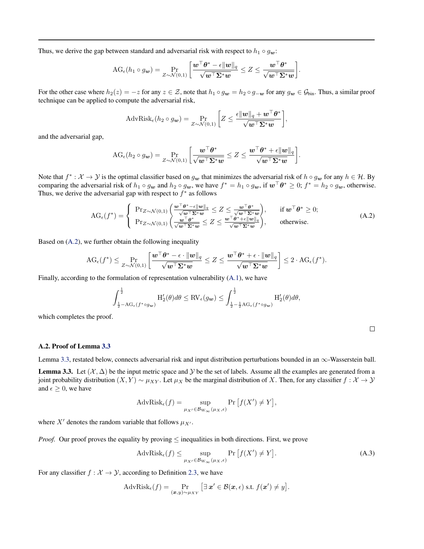Thus, we derive the gap between standard and adversarial risk with respect to  $h_1 \circ g_w$ :

$$
\text{AG}_{\epsilon}(h_1 \circ g_{\boldsymbol{w}}) = \Pr_{Z \sim \mathcal{N}(0,1)} \left[ \frac{\boldsymbol{w}^\top \boldsymbol{\theta}^* - \epsilon \|\boldsymbol{w}\|_q}{\sqrt{\boldsymbol{w}^\top \boldsymbol{\Sigma}^* \boldsymbol{w}}} \leq Z \leq \frac{\boldsymbol{w}^\top \boldsymbol{\theta}^*}{\sqrt{\boldsymbol{w}^\top \boldsymbol{\Sigma}^* \boldsymbol{w}}} \right].
$$

For the other case where  $h_2(z) = -z$  for any  $z \in \mathcal{Z}$ , note that  $h_1 \circ g_w = h_2 \circ g_{-w}$  for any  $g_w \in \mathcal{G}_{\text{bin}}$ . Thus, a similar proof technique can be applied to compute the adversarial risk,

$$
\text{AdvRisk}_{\epsilon}(h_2 \circ g_{\mathbf{w}}) = \Pr_{Z \sim \mathcal{N}(0,1)} \left[ Z \leq \frac{\epsilon ||\mathbf{w}||_q + \mathbf{w}^\top \boldsymbol{\theta}^*}{\sqrt{\mathbf{w}^\top \boldsymbol{\Sigma}^* \mathbf{w}}} \right],
$$

and the adversarial gap,

$$
\text{AG}_{\epsilon}(h_2\circ g_{\bm{w}})=\Pr_{Z\sim\mathcal{N}(0,1)}\bigg[\frac{\bm{w}^\top\bm{\theta}^*}{\sqrt{\bm{w}^\top\bm{\Sigma}^*\bm{w}}}\leq Z\leq \frac{\bm{w}^\top\bm{\theta}^*+\epsilon\|\bm{w}\|_q}{\sqrt{\bm{w}^\top\bm{\Sigma}^*\bm{w}}}\bigg].
$$

Note that  $f^*: \mathcal{X} \to \mathcal{Y}$  is the optimal classifier based on  $g_w$  that minimizes the adversarial risk of  $h \circ g_w$  for any  $h \in \mathcal{H}$ . By comparing the adversarial risk of  $h_1 \circ g_w$  and  $h_2 \circ g_w$ , we have  $f^* = h_1 \circ g_w$ , if  $w^\top \theta^* \geq 0$ ;  $f^* = h_2 \circ g_w$ , otherwise. Thus, we derive the adversarial gap with respect to  $f^*$  as follows

$$
\text{AG}_{\epsilon}(f^*) = \begin{cases} \text{Pr}_{Z \sim \mathcal{N}(0,1)} \left( \frac{\boldsymbol{w}^{\top} \boldsymbol{\theta}^* - \epsilon \|\boldsymbol{w}\|_q}{\sqrt{\boldsymbol{w}^{\top} \boldsymbol{\Sigma}^* \boldsymbol{w}}} \le Z \le \frac{\boldsymbol{w}^{\top} \boldsymbol{\theta}^*}{\sqrt{\boldsymbol{w}^{\top} \boldsymbol{\Sigma}^* \boldsymbol{w}}} \right), & \text{if } \boldsymbol{w}^{\top} \boldsymbol{\theta}^* \ge 0; \\ \text{Pr}_{Z \sim \mathcal{N}(0,1)} \left( \frac{\boldsymbol{w}^{\top} \boldsymbol{\theta}^*}{\sqrt{\boldsymbol{w}^{\top} \boldsymbol{\Sigma}^* \boldsymbol{w}}} \le Z \le \frac{\boldsymbol{w}^{\top} \boldsymbol{\theta}^* + \epsilon \|\boldsymbol{w}\|_q}{\sqrt{\boldsymbol{w}^{\top} \boldsymbol{\Sigma}^* \boldsymbol{w}}} \right), & \text{otherwise.} \end{cases} \tag{A.2}
$$

Based on (A.2), we further obtain the following inequality

$$
\text{AG}_{\epsilon}(f^*) \leq \Pr_{Z \sim \mathcal{N}(0,1)} \left[ \frac{\boldsymbol{w}^\top \boldsymbol{\theta}^* - \epsilon \cdot \|\boldsymbol{w}\|_q}{\sqrt{\boldsymbol{w}^\top \boldsymbol{\Sigma}^* \boldsymbol{w}}} \leq Z \leq \frac{\boldsymbol{w}^\top \boldsymbol{\theta}^* + \epsilon \cdot \|\boldsymbol{w}\|_q}{\sqrt{\boldsymbol{w}^\top \boldsymbol{\Sigma}^* \boldsymbol{w}}} \right] \leq 2 \cdot \text{AG}_{\epsilon}(f^*).
$$

Finally, according to the formulation of representation vulnerability (A.1), we have

$$
\int_{\frac{1}{2}-\mathrm{AG}_{\epsilon}(f^* \circ g_{\mathbf{w}})}^{\frac{1}{2}} \mathrm{H}'_2(\theta) d\theta \leq \mathrm{RV}_{\epsilon}(g_{\mathbf{w}}) \leq \int_{\frac{1}{2}-\frac{1}{2}\mathrm{AG}_{\epsilon}(f^* \circ g_{\mathbf{w}})}^{\frac{1}{2}} \mathrm{H}'_2(\theta) d\theta,
$$

which completes the proof.

### A.2. Proof of Lemma 3.3

Lemma 3.3, restated below, connects adversarial risk and input distribution perturbations bounded in an  $\infty$ -Wasserstein ball.

**Lemma 3.3.** Let  $(X, \Delta)$  be the input metric space and Y be the set of labels. Assume all the examples are generated from a joint probability distribution  $(X, Y) \sim \mu_{XY}$ . Let  $\mu_X$  be the marginal distribution of X. Then, for any classifier  $f: X \to Y$ and  $\epsilon \geq 0$ , we have

$$
\mathrm{AdvRisk}_{\epsilon}(f) = \sup_{\mu_{X'} \in \mathcal{B}_{\mathcal{W}_{\infty}}(\mu_X, \epsilon)} \Pr\left[f(X') \neq Y\right],
$$

where X' denotes the random variable that follows  $\mu_{X'}$ .

*Proof.* Our proof proves the equality by proving  $\leq$  inequalities in both directions. First, we prove

$$
\mathrm{AdvRisk}_{\epsilon}(f) \le \sup_{\mu_{X'} \in \mathcal{B}_{\mathcal{W}_{\infty}}(\mu_X, \epsilon)} \Pr\left[f(X') \neq Y\right].\tag{A.3}
$$

For any classifier  $f : \mathcal{X} \to \mathcal{Y}$ , according to Definition 2.3, we have

$$
\mathrm{AdvRisk}_{\epsilon}(f) = \Pr_{(\bm{x},y) \sim \mu_{XY}} \left[ \exists \ \bm{x}' \in \mathcal{B}(\bm{x}, \epsilon) \text{ s.t. } f(\bm{x}') \neq y \right].
$$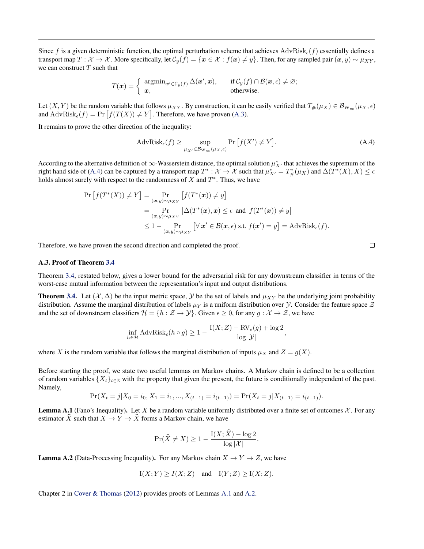Since f is a given deterministic function, the optimal perturbation scheme that achieves  $AdvRisk_{\epsilon}(f)$  essentially defines a transport map  $T: \mathcal{X} \to \mathcal{X}$ . More specifically, let  $\mathcal{C}_y(f) = \{x \in \mathcal{X} : f(x) \neq y\}$ . Then, for any sampled pair  $(x, y) \sim \mu_{XY}$ , we can construct  $T$  such that

$$
T(\boldsymbol{x}) = \begin{cases} \operatorname{argmin}_{\boldsymbol{x}' \in \mathcal{C}_{y}(f)} \Delta(\boldsymbol{x}', \boldsymbol{x}), & \text{if } \mathcal{C}_{y}(f) \cap \mathcal{B}(\boldsymbol{x}, \epsilon) \neq \varnothing; \\ \boldsymbol{x}, & \text{otherwise.} \end{cases}
$$

Let  $(X, Y)$  be the random variable that follows  $\mu_{XY}$ . By construction, it can be easily verified that  $T_{\#}(\mu_X) \in \mathcal{B}_{W_{\infty}}(\mu_X, \epsilon)$ and  $\text{AdvRisk}_{\epsilon}(f) = \Pr[f(T(X)) \neq Y]$ . Therefore, we have proven (A.3).

It remains to prove the other direction of the inequality:

$$
\mathrm{AdvRisk}_{\epsilon}(f) \ge \sup_{\mu_{X'} \in \mathcal{B}_{\mathcal{W}_{\infty}}(\mu_X, \epsilon)} \Pr\left[f(X') \neq Y\right].\tag{A.4}
$$

According to the alternative definition of  $\infty$ -Wasserstein distance, the optimal solution  $\mu_{X'}^*$  that achieves the supremum of the right hand side of (A.4) can be captured by a transport map  $T^*: \mathcal{X} \to \mathcal{X}$  such that  $\mu_{X'}^* = T^*_{\#}(\mu_X)$  and  $\Delta(T^*(X), X) \le \epsilon$ holds almost surely with respect to the randomness of  $X$  and  $T^*$ . Thus, we have

$$
\Pr\left[f(T^*(X)) \neq Y\right] = \Pr_{(\boldsymbol{x},y) \sim \mu_{XY}}\left[f(T^*(\boldsymbol{x})) \neq y\right]
$$
  
\n
$$
= \Pr_{(\boldsymbol{x},y) \sim \mu_{XY}}\left[\Delta(T^*(\boldsymbol{x}), \boldsymbol{x}) \leq \epsilon \text{ and } f(T^*(\boldsymbol{x})) \neq y\right]
$$
  
\n
$$
\leq 1 - \Pr_{(\boldsymbol{x},y) \sim \mu_{XY}}\left[\forall \boldsymbol{x}' \in \mathcal{B}(\boldsymbol{x}, \epsilon) \text{ s.t. } f(\boldsymbol{x}') = y\right] = \text{AdvRisk}_{\epsilon}(f).
$$

Therefore, we have proven the second direction and completed the proof.

### A.3. Proof of Theorem 3.4

Theorem 3.4, restated below, gives a lower bound for the adversarial risk for any downstream classifier in terms of the worst-case mutual information between the representation's input and output distributions.

**Theorem 3.4.** Let  $(X, \Delta)$  be the input metric space, Y be the set of labels and  $\mu_{XY}$  be the underlying joint probability distribution. Assume the marginal distribution of labels  $\mu_Y$  is a uniform distribution over  $\cal Y$ . Consider the feature space  $\cal Z$ and the set of downstream classifiers  $\mathcal{H} = \{h : \mathcal{Z} \to \mathcal{Y}\}\$ . Given  $\epsilon \geq 0$ , for any  $q : \mathcal{X} \to \mathcal{Z}\$ , we have

$$
\inf_{h \in \mathcal{H}} \text{AdvRisk}_{\epsilon}(h \circ g) \ge 1 - \frac{I(X;Z) - \text{RV}_{\epsilon}(g) + \log 2}{\log |\mathcal{Y}|},
$$

where X is the random variable that follows the marginal distribution of inputs  $\mu_X$  and  $Z = g(X)$ .

Before starting the proof, we state two useful lemmas on Markov chains. A Markov chain is defined to be a collection of random variables  $\{X_t\}_{t\in\mathbb{Z}}$  with the property that given the present, the future is conditionally independent of the past. Namely,

$$
Pr(X_t = j | X_0 = i_0, X_1 = i_1, ..., X_{(t-1)} = i_{(t-1)}) = Pr(X_t = j | X_{(t-1)} = i_{(t-1)}).
$$

**Lemma A.1** (Fano's Inequality). Let X be a random variable uniformly distributed over a finite set of outcomes  $\mathcal{X}$ . For any estimator X such that  $X \to Y \to X$  forms a Markov chain, we have

$$
\Pr(\widehat{X} \neq X) \ge 1 - \frac{I(X; X) - \log 2}{\log |\mathcal{X}|}.
$$

**Lemma A.2** (Data-Processing Inequality). For any Markov chain  $X \to Y \to Z$ , we have

$$
I(X;Y) \ge I(X;Z) \quad \text{and} \quad I(Y;Z) \ge I(X;Z).
$$

Chapter 2 in Cover & Thomas (2012) provides proofs of Lemmas A.1 and A.2.

 $\Box$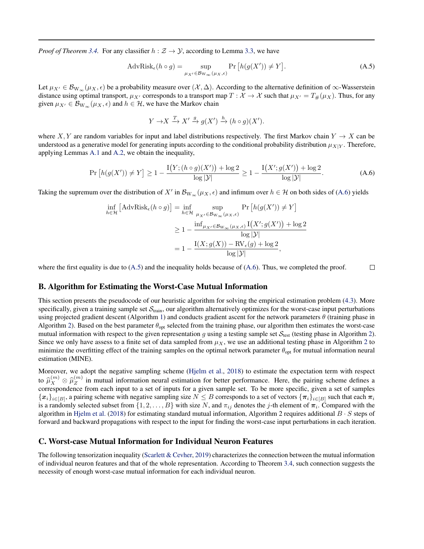*Proof of Theorem 3.4.* For any classifier  $h : \mathcal{Z} \to \mathcal{Y}$ , according to Lemma 3.3, we have

$$
\text{AdvRisk}_{\epsilon}(h \circ g) = \sup_{\mu_{X'} \in \mathcal{B}_{W_{\infty}}(\mu_X, \epsilon)} \Pr\left[h(g(X')) \neq Y\right].\tag{A.5}
$$

Let  $\mu_{X'} \in \mathcal{B}_{W_{\infty}}(\mu_X, \epsilon)$  be a probability measure over  $(\mathcal{X}, \Delta)$ . According to the alternative definition of  $\infty$ -Wasserstein distance using optimal transport,  $\mu_{X'}$  corresponds to a transport map  $T : \mathcal{X} \to \mathcal{X}$  such that  $\mu_{X'} = T_{\#}(\mu_X)$ . Thus, for any given  $\mu_{X'} \in \mathcal{B}_{W_{\infty}}(\mu_X, \epsilon)$  and  $h \in \mathcal{H}$ , we have the Markov chain

$$
Y \to X \xrightarrow{T} X' \xrightarrow{g} g(X') \xrightarrow{h} (h \circ g)(X').
$$

where X, Y are random variables for input and label distributions respectively. The first Markov chain  $Y \to X$  can be understood as a generative model for generating inputs according to the conditional probability distribution  $\mu_{X|Y}$ . Therefore, applying Lemmas A.1 and A.2, we obtain the inequality,

$$
\Pr\left[h(g(X')) \neq Y\right] \ge 1 - \frac{\mathcal{I}(Y; (h \circ g)(X')) + \log 2}{\log |\mathcal{Y}|} \ge 1 - \frac{\mathcal{I}(X'; g(X')) + \log 2}{\log |\mathcal{Y}|}. \tag{A.6}
$$

 $\Box$ 

Taking the supremum over the distribution of X' in  $\mathcal{B}_{W_\infty}(\mu_X, \epsilon)$  and infimum over  $h \in \mathcal{H}$  on both sides of (A.6) yields

$$
\inf_{h \in \mathcal{H}} \left[ \text{AdvRisk}_{\epsilon}(h \circ g) \right] = \inf_{h \in \mathcal{H}} \sup_{\mu_{X'} \in \mathcal{B}_{\mathcal{W}_{\infty}}(\mu_{X}, \epsilon)} \Pr \left[ h(g(X')) \neq Y \right]
$$
\n
$$
\geq 1 - \frac{\inf_{\mu_{X'} \in \mathcal{B}_{\mathcal{W}_{\infty}}(\mu_{X}, \epsilon)} \mathcal{I}(X'; g(X')) + \log 2}{\log |\mathcal{Y}|}
$$
\n
$$
= 1 - \frac{\mathcal{I}(X; g(X)) - \mathcal{RV}_{\epsilon}(g) + \log 2}{\log |\mathcal{Y}|},
$$

where the first equality is due to  $(A.5)$  and the inequality holds because of  $(A.6)$ . Thus, we completed the proof.

### B. Algorithm for Estimating the Worst-Case Mutual Information

This section presents the pseudocode of our heuristic algorithm for solving the empirical estimation problem (4.3). More specifically, given a training sample set  $S<sub>train</sub>$ , our algorithm alternatively optimizes for the worst-case input perturbations using projected gradient descent (Algorithm 1) and conducts gradient ascent for the network parameters  $\theta$  (training phase in Algorithm 2). Based on the best parameter  $\theta_{opt}$  selected from the training phase, our algorithm then estimates the worst-case mutual information with respect to the given representation g using a testing sample set  $S_{test}$  (testing phase in Algorithm 2). Since we only have assess to a finite set of data sampled from  $\mu_X$ , we use an additional testing phase in Algorithm 2 to minimize the overfitting effect of the training samples on the optimal network parameter  $\theta_{opt}$  for mutual information neural estimation (MINE).

Moreover, we adopt the negative sampling scheme (Hjelm et al., 2018) to estimate the expectation term with respect to  $\widehat{\mu}_{X}^{(m)}\otimes \widehat{\mu}_{Z}^{(m)}$ <br>correspondence  $Z<sub>Z</sub><sup>(m)</sup>$  in mutual information neural estimation for better performance. Here, the pairing scheme defines a correspondence from each input to a set of inputs for a given sample set. To be more specific, given a set of samples  $\{x_i\}_{i\in[B]}$ , a pairing scheme with negative sampling size  $N\leq B$  corresponds to a set of vectors  $\{\pi_i\}_{i\in[B]}$  such that each  $\pi_i$ is a randomly selected subset from  $\{1, 2, \ldots, B\}$  with size N, and  $\pi_{ij}$  denotes the j-th element of  $\pi_i$ . Compared with the algorithm in Hjelm et al. (2018) for estimating standard mutual information, Algorithm 2 requires additional  $B \cdot S$  steps of forward and backward propagations with respect to the input for finding the worst-case input perturbations in each iteration.

### C. Worst-case Mutual Information for Individual Neuron Features

The following tensorization inequality (Scarlett & Cevher, 2019) characterizes the connection between the mutual information of individual neuron features and that of the whole representation. According to Theorem 3.4, such connection suggests the necessity of enough worst-case mutual information for each individual neuron.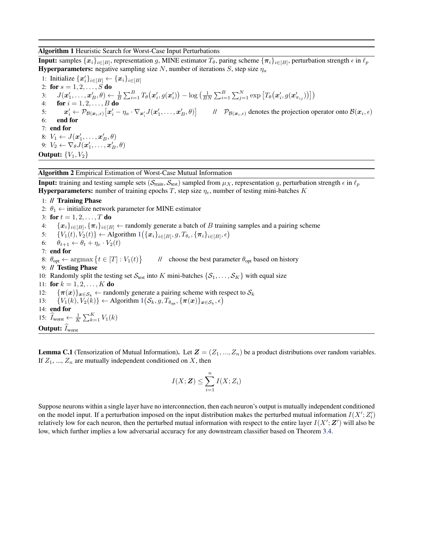Algorithm 1 Heuristic Search for Worst-Case Input Perturbations

**Input:** samples  $\{x_i\}_{i\in[B]}$ , representation g, MINE estimator  $T_\theta$ , paring scheme  $\{\pi_i\}_{i\in[B]}$ , perturbation strength  $\epsilon$  in  $\ell_p$ **Hyperparameters:** negative sampling size N, number of iterations S, step size  $\eta_a$ 

1: Initialize  $\{\boldsymbol{x}'_i\}_{i \in [B]} \leftarrow \{\boldsymbol{x}_i\}_{i \in [B]}$ 2: for  $s = 1, 2, ..., S$  do 3:  $J(\boldsymbol{x}'_1,\ldots,\boldsymbol{x}'_B,\theta) \leftarrow \frac{1}{B}\sum_{i=1}^B T_{\theta}(\boldsymbol{x}'_i,g(\boldsymbol{x}'_i)) - \log\left(\frac{1}{BN}\sum_{i=1}^B\sum_{j=1}^N\exp\left[T_{\theta}(\boldsymbol{x}'_i,g(\boldsymbol{x}'_{\pi_{ij}}))\right]\right)$ 4: **for**  $i = 1, 2, ..., B$  **do** 5:  $x_i' \leftarrow \mathcal{P}_{\mathcal{B}(\boldsymbol{x}_i, \epsilon)}\big[x_i' - \eta_a \cdot \nabla_{\boldsymbol{x}_i'} J(\boldsymbol{x}_1', \dots, \boldsymbol{x}_B', \theta)\big]$  //  $\mathcal{P}_{\mathcal{B}(\boldsymbol{x}_i, \epsilon)}$  denotes the projection operator onto  $\mathcal{B}(\boldsymbol{x}_i, \epsilon)$ 6: end for 7: end for 8:  $V_1 \leftarrow J(\boldsymbol{x}'_1, \ldots, \boldsymbol{x}'_B, \theta)$ 9:  $V_2 \leftarrow \nabla_{\theta} J(\boldsymbol{x}'_1, \ldots, \boldsymbol{x}'_B, \theta)$ Output:  ${V_1, V_2}$ 

Algorithm 2 Empirical Estimation of Worst-Case Mutual Information

**Input:** training and testing sample sets ( $S_{train}$ ,  $S_{test}$ ) sampled from  $\mu_X$ , representation g, perturbation strength  $\epsilon$  in  $\ell_p$ **Hyperparameters:** number of training epochs T, step size  $\eta_e$ , number of testing mini-batches K

1: // Training Phase

2:  $\theta_1 \leftarrow$  initialize network parameter for MINE estimator 3: for  $t = 1, 2, ..., T$  do 4:  $\{x_i\}_{i\in[B]}, \{\pi_i\}_{i\in[B]} \leftarrow$  randomly generate a batch of B training samples and a pairing scheme 5: {*V*<sub>1</sub>(*t*), *V*<sub>2</sub>(*t*)} ← Algorithm 1 $($ { $x_i$ }<sub>*i*∈[*B*]</sub>, *g*,  $T_{\theta_t}$ , { $\pi_i$ }<sub>*i*∈[*B*],  $\epsilon$ )</sub> 6:  $\theta_{t+1} \leftarrow \theta_t + \eta_e \cdot V_2(t)$ 7: end for 8:  $\theta_{opt} \leftarrow \text{argmax} \{ t \in [T] : V_1(t) \}$  // choose the best parameter  $\theta_{opt}$  based on history 9: // Testing Phase 10: Randomly split the testing set  $S_{test}$  into K mini-batches  $\{S_1, \ldots, S_K\}$  with equal size 11: for  $k = 1, 2, ..., K$  do 12:  ${\pi(x)}_{x \in S_k}$  ← randomly generate a pairing scheme with respect to  $S_k$ 13:  $\{V_1(k), V_2(k)\}\leftarrow \text{Algorithm } 1(\mathcal{S}_k, g, T_{\theta_{\text{opt}}}, {\{\pi(\boldsymbol{x})\}_{\boldsymbol{x}\in \mathcal{S}_k}, \epsilon})$ 14: end for 15:  $\widehat{I}_{\text{worst}} \leftarrow \frac{1}{K} \sum_{k=1}^{K} V_1(k)$ **Output:**  $\widehat{I}_{worst}$ 

**Lemma C.1** (Tensorization of Mutual Information). Let  $Z = (Z_1, ..., Z_n)$  be a product distributions over random variables. If  $Z_1, ..., Z_n$  are mutually independent conditioned on X, then

$$
I(X; \mathbf{Z}) \leq \sum_{i=1}^{n} I(X; Z_i)
$$

Suppose neurons within a single layer have no interconnection, then each neuron's output is mutually independent conditioned on the model input. If a perturbation imposed on the input distribution makes the perturbed mutual information  $I(X'; Z'_i)$ relatively low for each neuron, then the perturbed mutual information with respect to the entire layer  $I(X'; Z')$  will also be low, which further implies a low adversarial accuracy for any downstream classifier based on Theorem 3.4.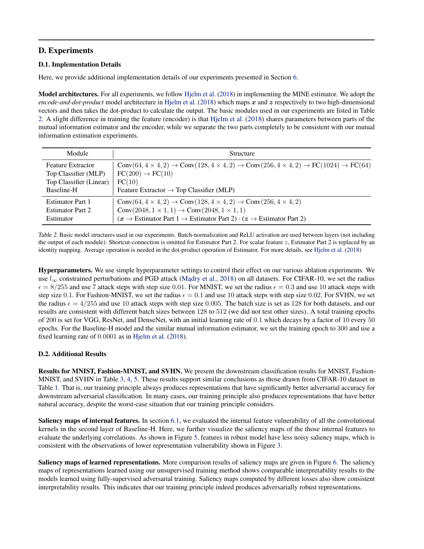# D. Experiments

## D.1. Implementation Details

Here, we provide additional implementation details of our experiments presented in Section 6.

Model architectures. For all experiments, we follow Hjelm et al. (2018) in implementing the MINE estimator. We adopt the *encode-and-dot-product* model architecture in Hjelm et al. (2018) which maps  $x$  and  $z$  respectively to two high-dimensional vectors and then takes the dot-product to calculate the output. The basic modules used in our experiments are listed in Table 2. A slight difference in training the feature (encoder) is that Hjelm et al. (2018) shares parameters between parts of the mutual information estimator and the encoder, while we separate the two parts completely to be consistent with our mutual information estimation experiments.

| Module                   | <b>Structure</b>                                                                                                                                                 |
|--------------------------|------------------------------------------------------------------------------------------------------------------------------------------------------------------|
| <b>Feature Extractor</b> | Conv $(64, 4 \times 4, 2)$ $\rightarrow$ Conv $(128, 4 \times 4, 2)$ $\rightarrow$ Conv $(256, 4 \times 4, 2)$ $\rightarrow$ FC $(1024)$ $\rightarrow$ FC $(64)$ |
| Top Classifier (MLP)     | $FC(200) \rightarrow FC(10)$                                                                                                                                     |
| Top Classifier (Linear)  | FC(10)                                                                                                                                                           |
| Baseline-H               | Feature Extractor $\rightarrow$ Top Classifier (MLP)                                                                                                             |
| <b>Estimator Part 1</b>  | Conv $(64, 4 \times 4, 2)$ $\rightarrow$ Conv $(128, 4 \times 4, 2)$ $\rightarrow$ Conv $(256, 4 \times 4, 2)$                                                   |
| <b>Estimator Part 2</b>  | Conv $(2048, 1 \times 1, 1) \rightarrow \text{Conv}(2048, 1 \times 1, 1)$                                                                                        |
| Estimator                | $(x \rightarrow \text{Estimator Part 1} \rightarrow \text{Estimator Part 2}) \cdot (z \rightarrow \text{Estimator Part 2})$                                      |

Table 2. Basic model structures used in our experiments. Batch-normalization and ReLU activation are used between layers (not including the output of each module). Shortcut-connection is omitted for Estimator Part 2. For scalar feature z, Estimator Part 2 is replaced by an identity mapping. Average operation is needed in the dot-product operation of Estimator. For more details, see Hjelm et al. (2018)

Hyperparameters. We use simple hyperparameter settings to control their effect on our various ablation experiments. We use  $l_{\infty}$  constrained perturbations and PGD attack (Madry et al., 2018) on all datasets. For CIFAR-10, we set the radius  $\epsilon = 8/255$  and use 7 attack steps with step size 0.01. For MNIST, we set the radius  $\epsilon = 0.3$  and use 10 attack steps with step size 0.1. For Fashion-MNIST, we set the radius  $\epsilon = 0.1$  and use 10 attack steps with step size 0.02. For SVHN, we set the radius  $\epsilon = 4/255$  and use 10 attack steps with step size 0.005. The batch size is set as 128 for both datasets, and our results are consistent with different batch sizes between 128 to 512 (we did not test other sizes). A total training epochs of 200 is set for VGG, ResNet, and DenseNet, with an initial learning rate of 0.1 which decays by a factor of 10 every 50 epochs. For the Baseline-H model and the similar mutual information estimator, we set the training epoch to 300 and use a fixed learning rate of 0.0001 as in Hjelm et al. (2018).

## D.2. Additional Results

Results for MNIST, Fashion-MNIST, and SVHN. We present the downstream classification results for MNIST, Fashion-MNIST, and SVHN in Table 3, 4, 5. These results support similar conclusions as those drawn from CIFAR-10 dataset in Table 1. That is, our training principle always produces representations that have significantly better adversarial accuracy for downstream adversarial classification. In many cases, our training principle also produces representations that have better natural accuracy, despite the worst-case situation that our training principle considers.

Saliency maps of internal features. In section 6.1, we evaluated the internal feature vulnerability of all the convolutional kernels in the second layer of Baseline-H. Here, we further visualize the saliency maps of the those internal features to evaluate the underlying correlations. As shown in Figure 5, features in robust model have less noisy saliency maps, which is consistent with the observations of lower representation vulnerability shown in Figure 3.

Saliency maps of learned representations. More comparison results of saliency maps are given in Figure 6. The saliency maps of representations learned using our unsupervised training method shows comparable interpretability results to the models learned using fully-supervised adversarial training. Saliency maps computed by different losses also show consistent interpretability results. This indicates that our training principle indeed produces adversarially robust representations.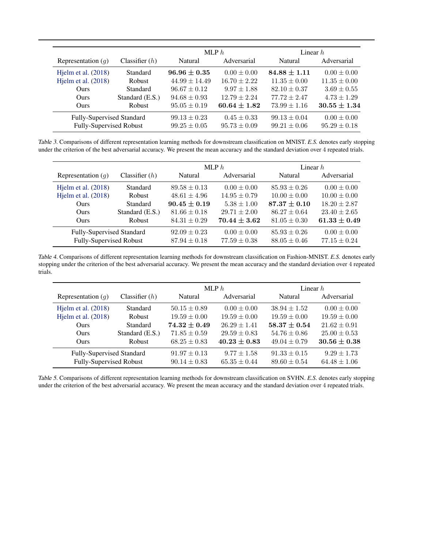|                                |                  | MLP $h$           |                  | Linear $h$       |                  |
|--------------------------------|------------------|-------------------|------------------|------------------|------------------|
| Representation $(q)$           | Classifier $(h)$ | <b>Natural</b>    | Adversarial      | Natural          | Adversarial      |
| Hjelm et al. (2018)            | Standard         | $96.96 + 0.35$    | $0.00 \pm 0.00$  | $84.88 + 1.11$   | $0.00 \pm 0.00$  |
| Hjelm et al. $(2018)$          | <b>Robust</b>    | $44.99 \pm 14.49$ | $16.70 \pm 2.22$ | $11.35 \pm 0.00$ | $11.35 \pm 0.00$ |
| Ours.                          | Standard         | $96.67 \pm 0.12$  | $9.97 \pm 1.88$  | $82.10 \pm 0.37$ | $3.69 \pm 0.55$  |
| <b>Ours</b>                    | Standard (E.S.)  | $94.68 \pm 0.93$  | $12.79 \pm 2.24$ | $77.72 \pm 2.47$ | $4.73 \pm 1.29$  |
| Ours                           | <b>Robust</b>    | $95.05 \pm 0.19$  | $60.64 \pm 1.82$ | $73.99 \pm 1.16$ | $30.55 \pm 1.34$ |
| Fully-Supervised Standard      |                  | $99.13 \pm 0.23$  | $0.45 \pm 0.33$  | $99.13 \pm 0.04$ | $0.00 \pm 0.00$  |
| <b>Fully-Supervised Robust</b> |                  | $99.25 \pm 0.05$  | $95.73 \pm 0.09$ | $99.21 \pm 0.06$ | $95.29 \pm 0.18$ |

Table 3. Comparisons of different representation learning methods for downstream classification on MNIST. *E.S.* denotes early stopping under the criterion of the best adversarial accuracy. We present the mean accuracy and the standard deviation over 4 repeated trials.

|                           |                  | MLP $h$          |                  | Linear $h$       |                  |
|---------------------------|------------------|------------------|------------------|------------------|------------------|
| Representation $(q)$      | Classifier $(h)$ | Natural          | Adversarial      | Natural          | Adversarial      |
| Hjelm et al. $(2018)$     | Standard         | $89.58 \pm 0.13$ | $0.00 \pm 0.00$  | $85.93 \pm 0.26$ | $0.00 \pm 0.00$  |
| Hjelm et al. $(2018)$     | <b>Robust</b>    | $48.61 \pm 4.96$ | $14.95 \pm 0.79$ | $10.00 \pm 0.00$ | $10.00 \pm 0.00$ |
| <b>Ours</b>               | Standard         | $90.45 \pm 0.19$ | $5.38 \pm 1.00$  | $87.37\pm0.10$   | $18.20 \pm 2.87$ |
| Ours                      | Standard (E.S.)  | $81.66 \pm 0.18$ | $29.71 \pm 2.00$ | $86.27 \pm 0.64$ | $23.40 \pm 2.65$ |
| Ours                      | <b>Robust</b>    | $84.31 \pm 0.29$ | $70.44 \pm 3.62$ | $81.05 \pm 0.30$ | $61.33 \pm 0.49$ |
| Fully-Supervised Standard |                  | $92.09 \pm 0.23$ | $0.00 \pm 0.00$  | $85.93 \pm 0.26$ | $0.00 \pm 0.00$  |
| Fully-Supervised Robust   |                  | $87.94 \pm 0.18$ | $77.59 \pm 0.38$ | $88.05 \pm 0.46$ | $77.15 \pm 0.24$ |

Table 4. Comparisons of different representation learning methods for downstream classification on Fashion-MNIST. *E.S.* denotes early stopping under the criterion of the best adversarial accuracy. We present the mean accuracy and the standard deviation over 4 repeated trials.

|                           |                  | MLP $h$          |                  | Linear $h$       |                  |
|---------------------------|------------------|------------------|------------------|------------------|------------------|
| Representation $(q)$      | Classifier $(h)$ | Natural          | Adversarial      | Natural          | Adversarial      |
| Hjelm et al. $(2018)$     | Standard         | $50.15 \pm 0.89$ | $0.00 \pm 0.00$  | $38.94 \pm 1.52$ | $0.00 \pm 0.00$  |
| Hjelm et al. (2018)       | <b>Robust</b>    | $19.59 \pm 0.00$ | $19.59 \pm 0.00$ | $19.59 \pm 0.00$ | $19.59 \pm 0.00$ |
| Ours.                     | Standard         | $74.32 \pm 0.49$ | $26.29 \pm 1.41$ | $58.37 \pm 0.54$ | $21.62 \pm 0.91$ |
| Ours                      | Standard (E.S.)  | $71.85 \pm 0.59$ | $29.59 \pm 0.83$ | $54.76 \pm 0.86$ | $25.00 \pm 0.53$ |
| <b>Ours</b>               | Robust           | $68.25 \pm 0.83$ | $40.23 + 0.83$   | $49.04 \pm 0.79$ | $30.56 \pm 0.38$ |
| Fully-Supervised Standard |                  | $91.97 \pm 0.13$ | $9.77 \pm 1.58$  | $91.33 \pm 0.15$ | $9.29 \pm 1.73$  |
| Fully-Supervised Robust   |                  | $90.14 \pm 0.83$ | $65.35 \pm 0.44$ | $89.60 \pm 0.54$ | $64.48 \pm 1.06$ |

Table 5. Comparisons of different representation learning methods for downstream classification on SVHN. *E.S.* denotes early stopping under the criterion of the best adversarial accuracy. We present the mean accuracy and the standard deviation over 4 repeated trials.